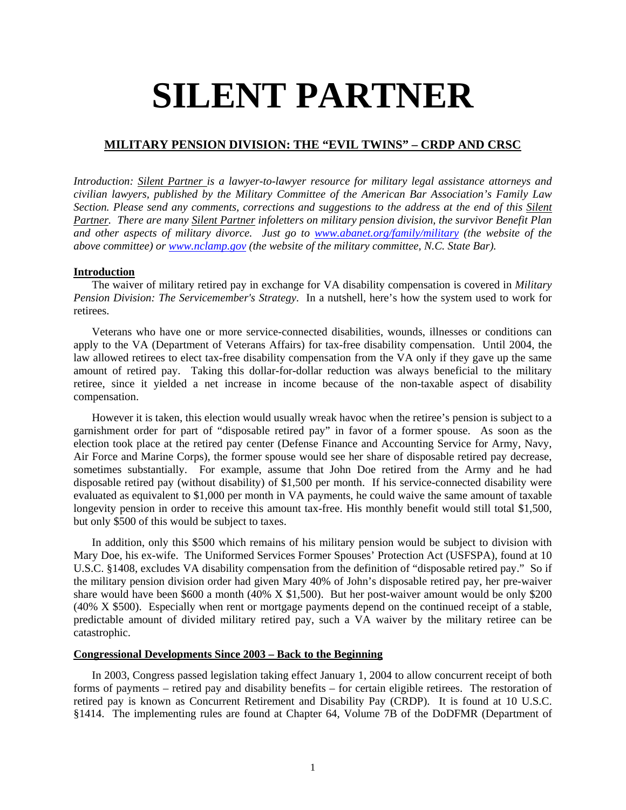# **SILENT PARTNER**

# **MILITARY PENSION DIVISION: THE "EVIL TWINS" – CRDP AND CRSC**

*Introduction: Silent Partner is a lawyer-to-lawyer resource for military legal assistance attorneys and civilian lawyers, published by the Military Committee of the American Bar Association's Family Law Section. Please send any comments, corrections and suggestions to the address at the end of this Silent Partner. There are many Silent Partner infoletters on military pension division, the survivor Benefit Plan and other aspects of military divorce. Just go to www.abanet.org/family/military (the website of the above committee) or www.nclamp.gov (the website of the military committee, N.C. State Bar).*

# **Introduction**

The waiver of military retired pay in exchange for VA disability compensation is covered in *Military Pension Division: The Servicemember's Strategy*. In a nutshell, here's how the system used to work for retirees.

Veterans who have one or more service-connected disabilities, wounds, illnesses or conditions can apply to the VA (Department of Veterans Affairs) for tax-free disability compensation. Until 2004, the law allowed retirees to elect tax-free disability compensation from the VA only if they gave up the same amount of retired pay. Taking this dollar-for-dollar reduction was always beneficial to the military retiree, since it yielded a net increase in income because of the non-taxable aspect of disability compensation.

However it is taken, this election would usually wreak havoc when the retiree's pension is subject to a garnishment order for part of "disposable retired pay" in favor of a former spouse. As soon as the election took place at the retired pay center (Defense Finance and Accounting Service for Army, Navy, Air Force and Marine Corps), the former spouse would see her share of disposable retired pay decrease, sometimes substantially. For example, assume that John Doe retired from the Army and he had disposable retired pay (without disability) of \$1,500 per month. If his service-connected disability were evaluated as equivalent to \$1,000 per month in VA payments, he could waive the same amount of taxable longevity pension in order to receive this amount tax-free. His monthly benefit would still total \$1,500, but only \$500 of this would be subject to taxes.

In addition, only this \$500 which remains of his military pension would be subject to division with Mary Doe, his ex-wife. The Uniformed Services Former Spouses' Protection Act (USFSPA), found at 10 U.S.C. §1408, excludes VA disability compensation from the definition of "disposable retired pay." So if the military pension division order had given Mary 40% of John's disposable retired pay, her pre-waiver share would have been \$600 a month (40% X \$1,500). But her post-waiver amount would be only \$200 (40% X \$500). Especially when rent or mortgage payments depend on the continued receipt of a stable, predictable amount of divided military retired pay, such a VA waiver by the military retiree can be catastrophic.

# **Congressional Developments Since 2003 – Back to the Beginning**

In 2003, Congress passed legislation taking effect January 1, 2004 to allow concurrent receipt of both forms of payments – retired pay and disability benefits – for certain eligible retirees. The restoration of retired pay is known as Concurrent Retirement and Disability Pay (CRDP). It is found at 10 U.S.C. §1414. The implementing rules are found at Chapter 64, Volume 7B of the DoDFMR (Department of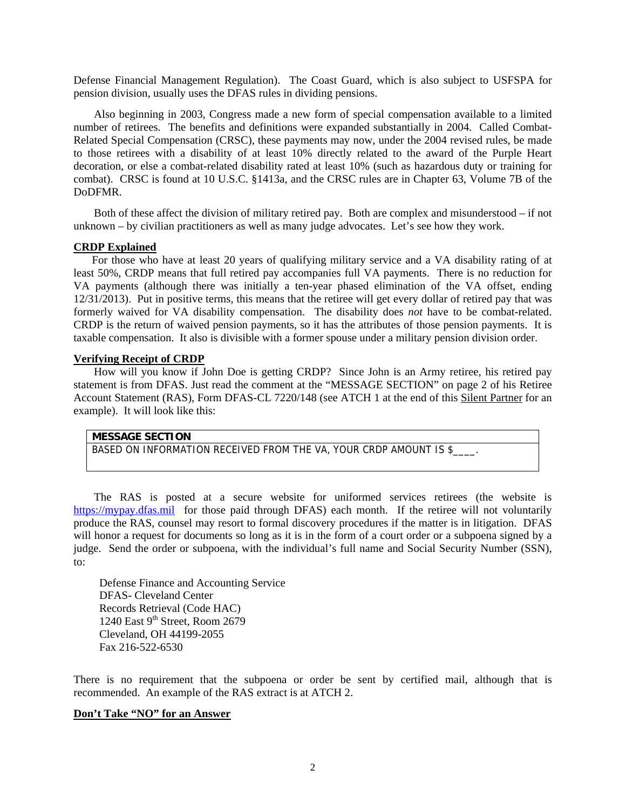Defense Financial Management Regulation). The Coast Guard, which is also subject to USFSPA for pension division, usually uses the DFAS rules in dividing pensions.

Also beginning in 2003, Congress made a new form of special compensation available to a limited number of retirees. The benefits and definitions were expanded substantially in 2004. Called Combat-Related Special Compensation (CRSC), these payments may now, under the 2004 revised rules, be made to those retirees with a disability of at least 10% directly related to the award of the Purple Heart decoration, or else a combat-related disability rated at least 10% (such as hazardous duty or training for combat). CRSC is found at 10 U.S.C. §1413a, and the CRSC rules are in Chapter 63, Volume 7B of the DoDFMR.

Both of these affect the division of military retired pay. Both are complex and misunderstood – if not unknown – by civilian practitioners as well as many judge advocates. Let's see how they work.

### **CRDP Explained**

For those who have at least 20 years of qualifying military service and a VA disability rating of at least 50%, CRDP means that full retired pay accompanies full VA payments. There is no reduction for VA payments (although there was initially a ten-year phased elimination of the VA offset, ending 12/31/2013). Put in positive terms, this means that the retiree will get every dollar of retired pay that was formerly waived for VA disability compensation. The disability does *not* have to be combat-related. CRDP is the return of waived pension payments, so it has the attributes of those pension payments. It is taxable compensation. It also is divisible with a former spouse under a military pension division order.

# **Verifying Receipt of CRDP**

How will you know if John Doe is getting CRDP? Since John is an Army retiree, his retired pay statement is from DFAS. Just read the comment at the "MESSAGE SECTION" on page 2 of his Retiree Account Statement (RAS), Form DFAS-CL 7220/148 (see ATCH 1 at the end of this Silent Partner for an example). It will look like this:

# **MESSAGE SECTION**

BASED ON INFORMATION RECEIVED FROM THE VA, YOUR CRDP AMOUNT IS \$

The RAS is posted at a secure website for uniformed services retirees (the website is https://mypay.dfas.mil for those paid through DFAS) each month. If the retiree will not voluntarily produce the RAS, counsel may resort to formal discovery procedures if the matter is in litigation. DFAS will honor a request for documents so long as it is in the form of a court order or a subpoena signed by a judge. Send the order or subpoena, with the individual's full name and Social Security Number (SSN), to:

Defense Finance and Accounting Service DFAS- Cleveland Center Records Retrieval (Code HAC) 1240 East  $9<sup>th</sup>$  Street, Room 2679 Cleveland, OH 44199-2055 Fax 216-522-6530

There is no requirement that the subpoena or order be sent by certified mail, although that is recommended. An example of the RAS extract is at ATCH 2.

# **Don't Take "NO" for an Answer**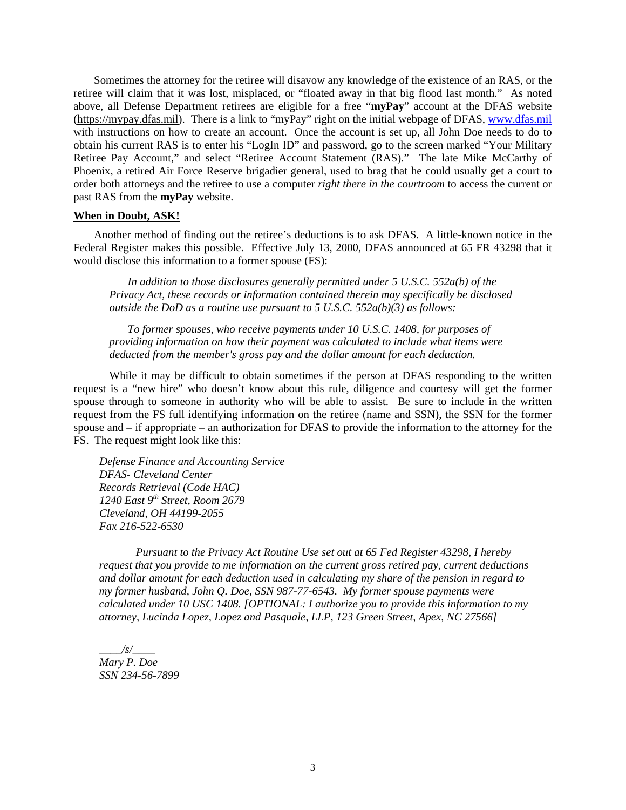Sometimes the attorney for the retiree will disavow any knowledge of the existence of an RAS, or the retiree will claim that it was lost, misplaced, or "floated away in that big flood last month." As noted above, all Defense Department retirees are eligible for a free "**myPay**" account at the DFAS website (https://mypay.dfas.mil). There is a link to "myPay" right on the initial webpage of DFAS, www.dfas.mil with instructions on how to create an account. Once the account is set up, all John Doe needs to do to obtain his current RAS is to enter his "LogIn ID" and password, go to the screen marked "Your Military Retiree Pay Account," and select "Retiree Account Statement (RAS)." The late Mike McCarthy of Phoenix, a retired Air Force Reserve brigadier general, used to brag that he could usually get a court to order both attorneys and the retiree to use a computer *right there in the courtroom* to access the current or past RAS from the **myPay** website.

#### **When in Doubt, ASK!**

Another method of finding out the retiree's deductions is to ask DFAS. A little-known notice in the Federal Register makes this possible. Effective July 13, 2000, DFAS announced at 65 FR 43298 that it would disclose this information to a former spouse (FS):

*In addition to those disclosures generally permitted under 5 U.S.C. 552a(b) of the Privacy Act, these records or information contained therein may specifically be disclosed outside the DoD as a routine use pursuant to 5 U.S.C. 552a(b)(3) as follows:* 

*To former spouses, who receive payments under 10 U.S.C. 1408, for purposes of providing information on how their payment was calculated to include what items were deducted from the member's gross pay and the dollar amount for each deduction.* 

While it may be difficult to obtain sometimes if the person at DFAS responding to the written request is a "new hire" who doesn't know about this rule, diligence and courtesy will get the former spouse through to someone in authority who will be able to assist. Be sure to include in the written request from the FS full identifying information on the retiree (name and SSN), the SSN for the former spouse and – if appropriate – an authorization for DFAS to provide the information to the attorney for the FS. The request might look like this:

*Defense Finance and Accounting Service DFAS- Cleveland Center Records Retrieval (Code HAC) 1240 East 9th Street, Room 2679 Cleveland, OH 44199-2055 Fax 216-522-6530* 

*Pursuant to the Privacy Act Routine Use set out at 65 Fed Register 43298, I hereby request that you provide to me information on the current gross retired pay, current deductions and dollar amount for each deduction used in calculating my share of the pension in regard to my former husband, John Q. Doe, SSN 987-77-6543. My former spouse payments were calculated under 10 USC 1408. [OPTIONAL: I authorize you to provide this information to my attorney, Lucinda Lopez, Lopez and Pasquale, LLP, 123 Green Street, Apex, NC 27566]* 

 $\frac{1}{s}$ *Mary P. Doe SSN 234-56-7899*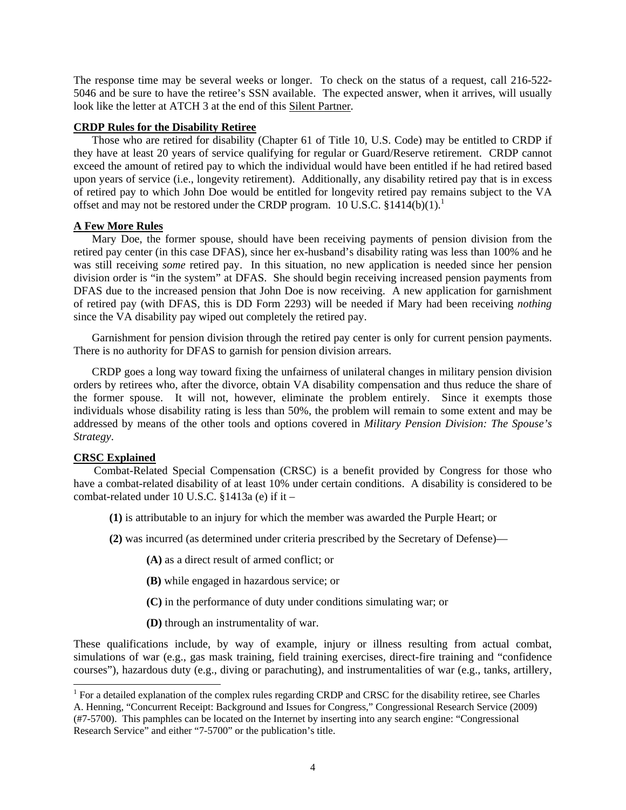The response time may be several weeks or longer. To check on the status of a request, call 216-522- 5046 and be sure to have the retiree's SSN available. The expected answer, when it arrives, will usually look like the letter at ATCH 3 at the end of this Silent Partner.

#### **CRDP Rules for the Disability Retiree**

Those who are retired for disability (Chapter 61 of Title 10, U.S. Code) may be entitled to CRDP if they have at least 20 years of service qualifying for regular or Guard/Reserve retirement. CRDP cannot exceed the amount of retired pay to which the individual would have been entitled if he had retired based upon years of service (i.e., longevity retirement). Additionally, any disability retired pay that is in excess of retired pay to which John Doe would be entitled for longevity retired pay remains subject to the VA offset and may not be restored under the CRDP program.  $10$  U.S.C. §1414(b)(1).<sup>1</sup>

# **A Few More Rules**

Mary Doe, the former spouse, should have been receiving payments of pension division from the retired pay center (in this case DFAS), since her ex-husband's disability rating was less than 100% and he was still receiving *some* retired pay. In this situation, no new application is needed since her pension division order is "in the system" at DFAS. She should begin receiving increased pension payments from DFAS due to the increased pension that John Doe is now receiving. A new application for garnishment of retired pay (with DFAS, this is DD Form 2293) will be needed if Mary had been receiving *nothing*  since the VA disability pay wiped out completely the retired pay.

Garnishment for pension division through the retired pay center is only for current pension payments. There is no authority for DFAS to garnish for pension division arrears.

CRDP goes a long way toward fixing the unfairness of unilateral changes in military pension division orders by retirees who, after the divorce, obtain VA disability compensation and thus reduce the share of the former spouse. It will not, however, eliminate the problem entirely. Since it exempts those individuals whose disability rating is less than 50%, the problem will remain to some extent and may be addressed by means of the other tools and options covered in *Military Pension Division: The Spouse's Strategy*.

# **CRSC Explained**

 $\overline{a}$ 

Combat-Related Special Compensation (CRSC) is a benefit provided by Congress for those who have a combat-related disability of at least 10% under certain conditions. A disability is considered to be combat-related under 10 U.S.C. §1413a (e) if it –

- **(1)** is attributable to an injury for which the member was awarded the Purple Heart; or
- **(2)** was incurred (as determined under criteria prescribed by the Secretary of Defense)—
	- **(A)** as a direct result of armed conflict; or
	- **(B)** while engaged in hazardous service; or
	- **(C)** in the performance of duty under conditions simulating war; or
	- **(D)** through an instrumentality of war.

These qualifications include, by way of example, injury or illness resulting from actual combat, simulations of war (e.g., gas mask training, field training exercises, direct-fire training and "confidence courses"), hazardous duty (e.g., diving or parachuting), and instrumentalities of war (e.g., tanks, artillery,

<sup>&</sup>lt;sup>1</sup> For a detailed explanation of the complex rules regarding CRDP and CRSC for the disability retiree, see Charles A. Henning, "Concurrent Receipt: Background and Issues for Congress," Congressional Research Service (2009) (#7-5700). This pamphles can be located on the Internet by inserting into any search engine: "Congressional Research Service" and either "7-5700" or the publication's title.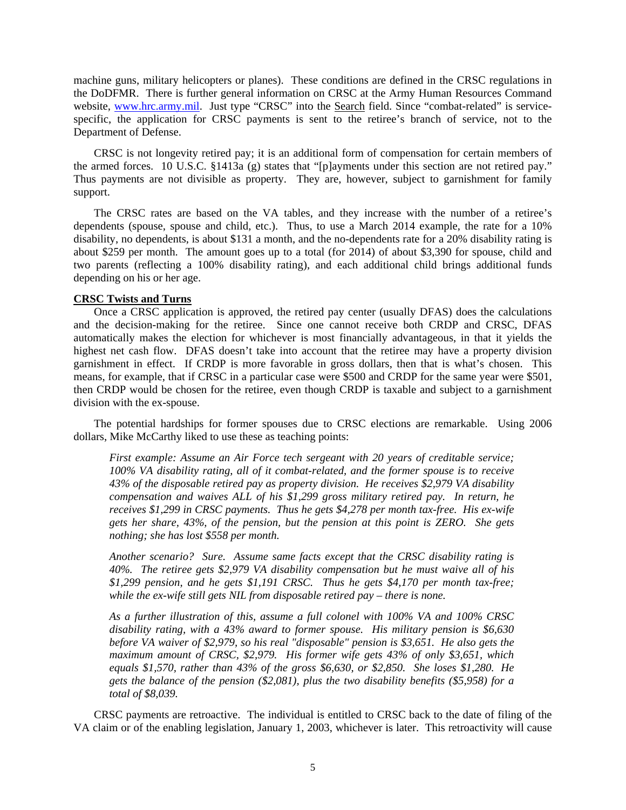machine guns, military helicopters or planes). These conditions are defined in the CRSC regulations in the DoDFMR. There is further general information on CRSC at the Army Human Resources Command website, www.hrc.army.mil. Just type "CRSC" into the Search field. Since "combat-related" is servicespecific, the application for CRSC payments is sent to the retiree's branch of service, not to the Department of Defense.

CRSC is not longevity retired pay; it is an additional form of compensation for certain members of the armed forces. 10 U.S.C. §1413a (g) states that "[p]ayments under this section are not retired pay." Thus payments are not divisible as property. They are, however, subject to garnishment for family support.

The CRSC rates are based on the VA tables, and they increase with the number of a retiree's dependents (spouse, spouse and child, etc.). Thus, to use a March 2014 example, the rate for a 10% disability, no dependents, is about \$131 a month, and the no-dependents rate for a 20% disability rating is about \$259 per month. The amount goes up to a total (for 2014) of about \$3,390 for spouse, child and two parents (reflecting a 100% disability rating), and each additional child brings additional funds depending on his or her age.

# **CRSC Twists and Turns**

Once a CRSC application is approved, the retired pay center (usually DFAS) does the calculations and the decision-making for the retiree. Since one cannot receive both CRDP and CRSC, DFAS automatically makes the election for whichever is most financially advantageous, in that it yields the highest net cash flow. DFAS doesn't take into account that the retiree may have a property division garnishment in effect. If CRDP is more favorable in gross dollars, then that is what's chosen. This means, for example, that if CRSC in a particular case were \$500 and CRDP for the same year were \$501, then CRDP would be chosen for the retiree, even though CRDP is taxable and subject to a garnishment division with the ex-spouse.

The potential hardships for former spouses due to CRSC elections are remarkable. Using 2006 dollars, Mike McCarthy liked to use these as teaching points:

*First example: Assume an Air Force tech sergeant with 20 years of creditable service; 100% VA disability rating, all of it combat-related, and the former spouse is to receive 43% of the disposable retired pay as property division. He receives \$2,979 VA disability compensation and waives ALL of his \$1,299 gross military retired pay. In return, he receives \$1,299 in CRSC payments. Thus he gets \$4,278 per month tax-free. His ex-wife gets her share, 43%, of the pension, but the pension at this point is ZERO. She gets nothing; she has lost \$558 per month.* 

*Another scenario? Sure. Assume same facts except that the CRSC disability rating is 40%. The retiree gets \$2,979 VA disability compensation but he must waive all of his \$1,299 pension, and he gets \$1,191 CRSC. Thus he gets \$4,170 per month tax-free; while the ex-wife still gets NIL from disposable retired pay – there is none.* 

*As a further illustration of this, assume a full colonel with 100% VA and 100% CRSC disability rating, with a 43% award to former spouse. His military pension is \$6,630 before VA waiver of \$2,979, so his real "disposable" pension is \$3,651. He also gets the maximum amount of CRSC, \$2,979. His former wife gets 43% of only \$3,651, which equals \$1,570, rather than 43% of the gross \$6,630, or \$2,850. She loses \$1,280. He gets the balance of the pension (\$2,081), plus the two disability benefits (\$5,958) for a total of \$8,039.*

CRSC payments are retroactive. The individual is entitled to CRSC back to the date of filing of the VA claim or of the enabling legislation, January 1, 2003, whichever is later. This retroactivity will cause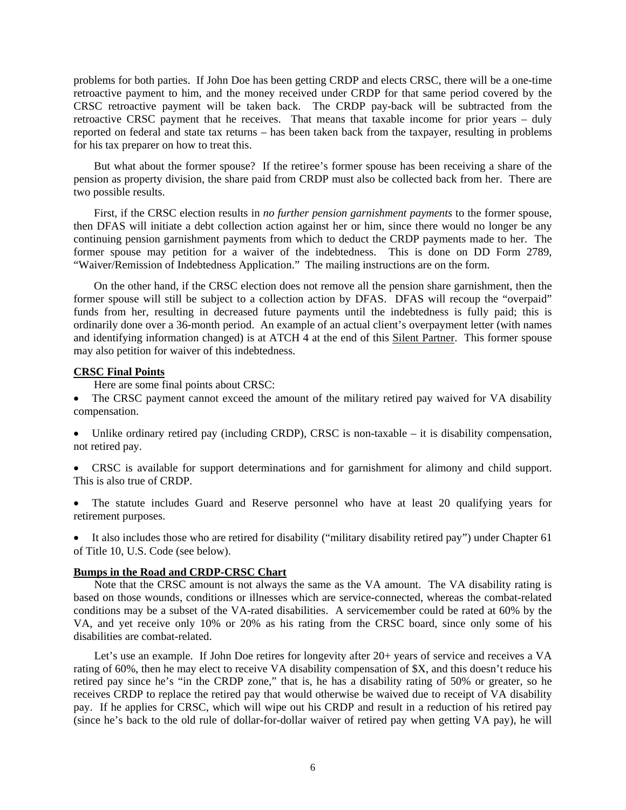problems for both parties. If John Doe has been getting CRDP and elects CRSC, there will be a one-time retroactive payment to him, and the money received under CRDP for that same period covered by the CRSC retroactive payment will be taken back. The CRDP pay-back will be subtracted from the retroactive CRSC payment that he receives. That means that taxable income for prior years – duly reported on federal and state tax returns – has been taken back from the taxpayer, resulting in problems for his tax preparer on how to treat this.

But what about the former spouse? If the retiree's former spouse has been receiving a share of the pension as property division, the share paid from CRDP must also be collected back from her. There are two possible results.

First, if the CRSC election results in *no further pension garnishment payments* to the former spouse, then DFAS will initiate a debt collection action against her or him, since there would no longer be any continuing pension garnishment payments from which to deduct the CRDP payments made to her. The former spouse may petition for a waiver of the indebtedness. This is done on DD Form 2789, "Waiver/Remission of Indebtedness Application." The mailing instructions are on the form.

On the other hand, if the CRSC election does not remove all the pension share garnishment, then the former spouse will still be subject to a collection action by DFAS. DFAS will recoup the "overpaid" funds from her, resulting in decreased future payments until the indebtedness is fully paid; this is ordinarily done over a 36-month period. An example of an actual client's overpayment letter (with names and identifying information changed) is at ATCH 4 at the end of this Silent Partner. This former spouse may also petition for waiver of this indebtedness.

# **CRSC Final Points**

Here are some final points about CRSC:

- The CRSC payment cannot exceed the amount of the military retired pay waived for VA disability compensation.
- Unlike ordinary retired pay (including CRDP), CRSC is non-taxable it is disability compensation, not retired pay.
- CRSC is available for support determinations and for garnishment for alimony and child support. This is also true of CRDP.
- The statute includes Guard and Reserve personnel who have at least 20 qualifying years for retirement purposes.

 It also includes those who are retired for disability ("military disability retired pay") under Chapter 61 of Title 10, U.S. Code (see below).

# **Bumps in the Road and CRDP-CRSC Chart**

Note that the CRSC amount is not always the same as the VA amount. The VA disability rating is based on those wounds, conditions or illnesses which are service-connected, whereas the combat-related conditions may be a subset of the VA-rated disabilities. A servicemember could be rated at 60% by the VA, and yet receive only 10% or 20% as his rating from the CRSC board, since only some of his disabilities are combat-related.

Let's use an example. If John Doe retires for longevity after 20+ years of service and receives a VA rating of 60%, then he may elect to receive VA disability compensation of \$X, and this doesn't reduce his retired pay since he's "in the CRDP zone," that is, he has a disability rating of 50% or greater, so he receives CRDP to replace the retired pay that would otherwise be waived due to receipt of VA disability pay. If he applies for CRSC, which will wipe out his CRDP and result in a reduction of his retired pay (since he's back to the old rule of dollar-for-dollar waiver of retired pay when getting VA pay), he will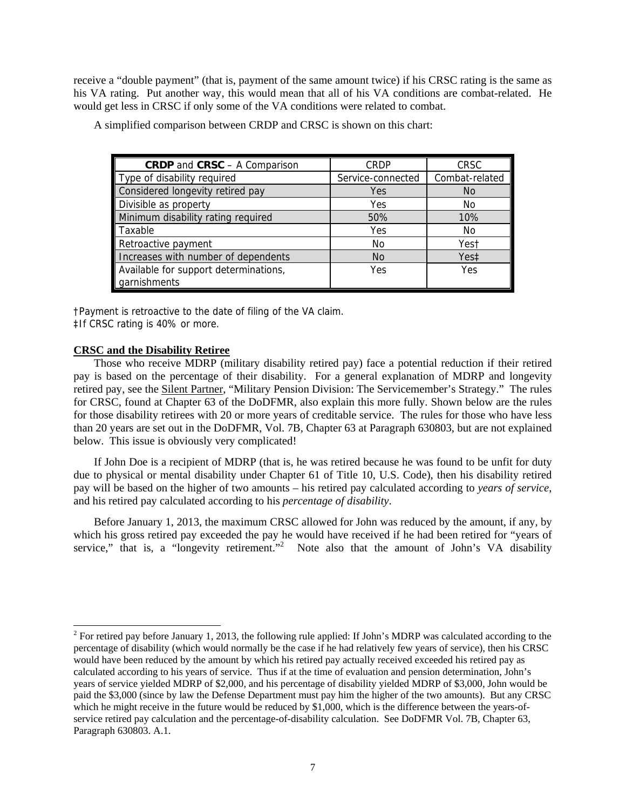receive a "double payment" (that is, payment of the same amount twice) if his CRSC rating is the same as his VA rating. Put another way, this would mean that all of his VA conditions are combat-related. He would get less in CRSC if only some of the VA conditions were related to combat.

| <b>CRDP</b> and <b>CRSC</b> - A Comparison | <b>CRDP</b>       | <b>CRSC</b>    |
|--------------------------------------------|-------------------|----------------|
| Type of disability required                | Service-connected | Combat-related |
| Considered longevity retired pay           | Yes               | <b>No</b>      |
| Divisible as property                      | Yes               | No.            |
| Minimum disability rating required         | 50%               | 10%            |
| Taxable                                    | Yes               | No.            |
| Retroactive payment                        | No                | Yest           |
| Increases with number of dependents        | N <sub>O</sub>    | Yes‡           |
| Available for support determinations,      | Yes               | Yes            |
| garnishments                               |                   |                |

A simplified comparison between CRDP and CRSC is shown on this chart:

†Payment is retroactive to the date of filing of the VA claim. ‡If CRSC rating is 40% or more.

#### **CRSC and the Disability Retiree**

Those who receive MDRP (military disability retired pay) face a potential reduction if their retired pay is based on the percentage of their disability. For a general explanation of MDRP and longevity retired pay, see the Silent Partner, "Military Pension Division: The Servicemember's Strategy." The rules for CRSC, found at Chapter 63 of the DoDFMR, also explain this more fully. Shown below are the rules for those disability retirees with 20 or more years of creditable service. The rules for those who have less than 20 years are set out in the DoDFMR, Vol. 7B, Chapter 63 at Paragraph 630803, but are not explained below. This issue is obviously very complicated!

If John Doe is a recipient of MDRP (that is, he was retired because he was found to be unfit for duty due to physical or mental disability under Chapter 61 of Title 10, U.S. Code), then his disability retired pay will be based on the higher of two amounts – his retired pay calculated according to *years of service*, and his retired pay calculated according to his *percentage of disability*.

Before January 1, 2013, the maximum CRSC allowed for John was reduced by the amount, if any, by which his gross retired pay exceeded the pay he would have received if he had been retired for "years of service," that is, a "longevity retirement."<sup>2</sup> Note also that the amount of John's VA disability

<sup>&</sup>lt;sup>2</sup> For retired pay before January 1, 2013, the following rule applied: If John's MDRP was calculated according to the percentage of disability (which would normally be the case if he had relatively few years of service), then his CRSC would have been reduced by the amount by which his retired pay actually received exceeded his retired pay as calculated according to his years of service. Thus if at the time of evaluation and pension determination, John's years of service yielded MDRP of \$2,000, and his percentage of disability yielded MDRP of \$3,000, John would be paid the \$3,000 (since by law the Defense Department must pay him the higher of the two amounts). But any CRSC which he might receive in the future would be reduced by \$1,000, which is the difference between the years-ofservice retired pay calculation and the percentage-of-disability calculation. See DoDFMR Vol. 7B, Chapter 63, Paragraph 630803. A.1.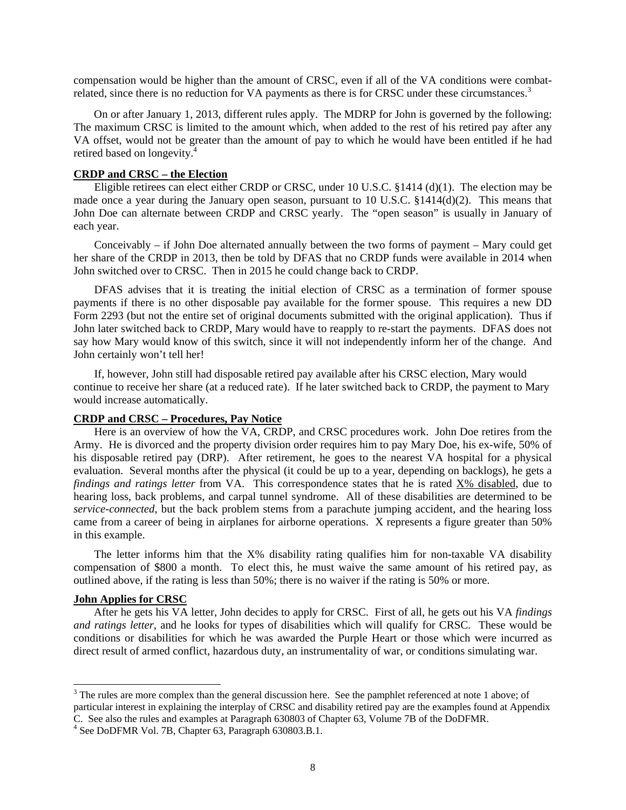compensation would be higher than the amount of CRSC, even if all of the VA conditions were combatrelated, since there is no reduction for VA payments as there is for CRSC under these circumstances.<sup>3</sup>

On or after January 1, 2013, different rules apply. The MDRP for John is governed by the following: The maximum CRSC is limited to the amount which, when added to the rest of his retired pay after any VA offset, would not be greater than the amount of pay to which he would have been entitled if he had retired based on longevity.<sup>4</sup>

# **CRDP and CRSC – the Election**

Eligible retirees can elect either CRDP or CRSC, under 10 U.S.C. §1414 (d)(1). The election may be made once a year during the January open season, pursuant to 10 U.S.C. §1414(d)(2). This means that John Doe can alternate between CRDP and CRSC yearly. The "open season" is usually in January of each year.

Conceivably – if John Doe alternated annually between the two forms of payment – Mary could get her share of the CRDP in 2013, then be told by DFAS that no CRDP funds were available in 2014 when John switched over to CRSC. Then in 2015 he could change back to CRDP.

DFAS advises that it is treating the initial election of CRSC as a termination of former spouse payments if there is no other disposable pay available for the former spouse. This requires a new DD Form 2293 (but not the entire set of original documents submitted with the original application). Thus if John later switched back to CRDP, Mary would have to reapply to re-start the payments. DFAS does not say how Mary would know of this switch, since it will not independently inform her of the change. And John certainly won't tell her!

If, however, John still had disposable retired pay available after his CRSC election, Mary would continue to receive her share (at a reduced rate). If he later switched back to CRDP, the payment to Mary would increase automatically.

### **CRDP and CRSC – Procedures, Pay Notice**

Here is an overview of how the VA, CRDP, and CRSC procedures work. John Doe retires from the Army. He is divorced and the property division order requires him to pay Mary Doe, his ex-wife, 50% of his disposable retired pay (DRP). After retirement, he goes to the nearest VA hospital for a physical evaluation. Several months after the physical (it could be up to a year, depending on backlogs), he gets a *findings and ratings letter* from VA. This correspondence states that he is rated X% disabled, due to hearing loss, back problems, and carpal tunnel syndrome. All of these disabilities are determined to be *service-connected*, but the back problem stems from a parachute jumping accident, and the hearing loss came from a career of being in airplanes for airborne operations. X represents a figure greater than 50% in this example.

The letter informs him that the X% disability rating qualifies him for non-taxable VA disability compensation of \$800 a month. To elect this, he must waive the same amount of his retired pay, as outlined above, if the rating is less than 50%; there is no waiver if the rating is 50% or more.

#### **John Applies for CRSC**

 $\overline{a}$ 

After he gets his VA letter, John decides to apply for CRSC. First of all, he gets out his VA *findings and ratings letter*, and he looks for types of disabilities which will qualify for CRSC. These would be conditions or disabilities for which he was awarded the Purple Heart or those which were incurred as direct result of armed conflict, hazardous duty, an instrumentality of war, or conditions simulating war.

 $3$  The rules are more complex than the general discussion here. See the pamphlet referenced at note 1 above; of particular interest in explaining the interplay of CRSC and disability retired pay are the examples found at Appendix C. See also the rules and examples at Paragraph 630803 of Chapter 63, Volume 7B of the DoDFMR. 4

 $4$  See DoDFMR Vol. 7B, Chapter 63, Paragraph 630803.B.1.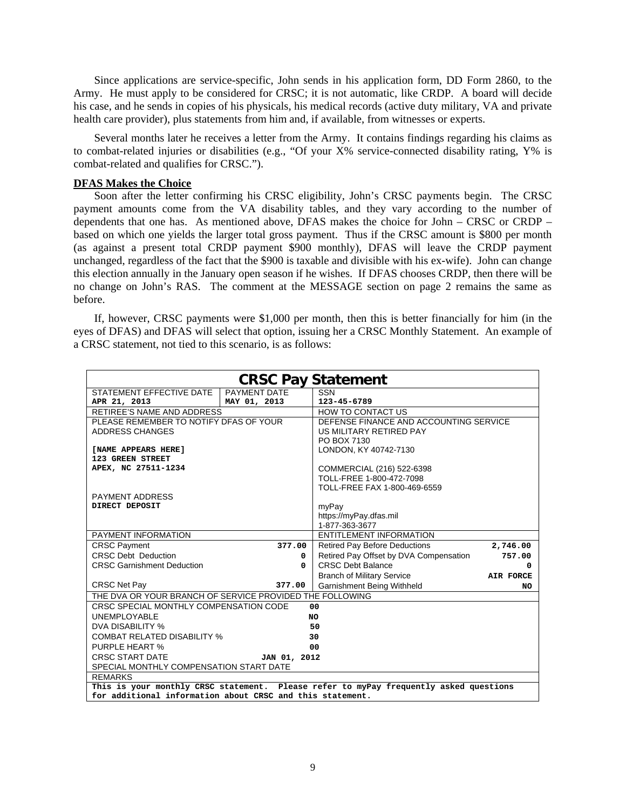Since applications are service-specific, John sends in his application form, DD Form 2860, to the Army. He must apply to be considered for CRSC; it is not automatic, like CRDP. A board will decide his case, and he sends in copies of his physicals, his medical records (active duty military, VA and private health care provider), plus statements from him and, if available, from witnesses or experts.

Several months later he receives a letter from the Army. It contains findings regarding his claims as to combat-related injuries or disabilities (e.g., "Of your X% service-connected disability rating, Y% is combat-related and qualifies for CRSC.").

#### **DFAS Makes the Choice**

Soon after the letter confirming his CRSC eligibility, John's CRSC payments begin. The CRSC payment amounts come from the VA disability tables, and they vary according to the number of dependents that one has. As mentioned above, DFAS makes the choice for John – CRSC or CRDP – based on which one yields the larger total gross payment. Thus if the CRSC amount is \$800 per month (as against a present total CRDP payment \$900 monthly), DFAS will leave the CRDP payment unchanged, regardless of the fact that the \$900 is taxable and divisible with his ex-wife). John can change this election annually in the January open season if he wishes. If DFAS chooses CRDP, then there will be no change on John's RAS. The comment at the MESSAGE section on page 2 remains the same as before.

If, however, CRSC payments were \$1,000 per month, then this is better financially for him (in the eyes of DFAS) and DFAS will select that option, issuing her a CRSC Monthly Statement. An example of a CRSC statement, not tied to this scenario, is as follows:

| <b>CRSC Pay Statement</b>                                                             |              |                                        |           |  |  |  |  |  |
|---------------------------------------------------------------------------------------|--------------|----------------------------------------|-----------|--|--|--|--|--|
| STATEMENT EFFECTIVE DATE                                                              | PAYMENT DATE | <b>SSN</b>                             |           |  |  |  |  |  |
| APR 21, 2013                                                                          | MAY 01, 2013 | 123-45-6789                            |           |  |  |  |  |  |
| RETIREE'S NAME AND ADDRESS                                                            |              | HOW TO CONTACT US                      |           |  |  |  |  |  |
| PLEASE REMEMBER TO NOTIFY DFAS OF YOUR                                                |              | DEFENSE FINANCE AND ACCOUNTING SERVICE |           |  |  |  |  |  |
| ADDRESS CHANGES                                                                       |              | US MILITARY RETIRED PAY                |           |  |  |  |  |  |
|                                                                                       |              | PO BOX 7130                            |           |  |  |  |  |  |
| [NAME APPEARS HERE]                                                                   |              | LONDON, KY 40742-7130                  |           |  |  |  |  |  |
| 123 GREEN STREET                                                                      |              |                                        |           |  |  |  |  |  |
| APEX, NC 27511-1234                                                                   |              | COMMERCIAL (216) 522-6398              |           |  |  |  |  |  |
|                                                                                       |              | TOLL-FREE 1-800-472-7098               |           |  |  |  |  |  |
| <b>PAYMENT ADDRESS</b>                                                                |              | TOLL-FREE FAX 1-800-469-6559           |           |  |  |  |  |  |
| DIRECT DEPOSIT                                                                        |              | myPay                                  |           |  |  |  |  |  |
|                                                                                       |              | https://myPay.dfas.mil                 |           |  |  |  |  |  |
|                                                                                       |              | 1-877-363-3677                         |           |  |  |  |  |  |
| PAYMENT INFORMATION                                                                   |              | <b>ENTITLEMENT INFORMATION</b>         |           |  |  |  |  |  |
| <b>CRSC Payment</b>                                                                   | 377.00       | <b>Retired Pay Before Deductions</b>   | 2,746.00  |  |  |  |  |  |
| <b>CRSC Debt Deduction</b>                                                            | 0            | Retired Pay Offset by DVA Compensation | 757.00    |  |  |  |  |  |
| <b>CRSC Garnishment Deduction</b>                                                     | $\Omega$     | <b>CRSC Debt Balance</b>               | 0         |  |  |  |  |  |
|                                                                                       |              | <b>Branch of Military Service</b>      | AIR FORCE |  |  |  |  |  |
| <b>CRSC Net Pay</b>                                                                   | 377.00       | Garnishment Being Withheld             | NO        |  |  |  |  |  |
| THE DVA OR YOUR BRANCH OF SERVICE PROVIDED THE FOLLOWING                              |              |                                        |           |  |  |  |  |  |
| CRSC SPECIAL MONTHLY COMPENSATION CODE                                                |              | 00                                     |           |  |  |  |  |  |
| <b>UNEMPLOYABLE</b>                                                                   |              | NO                                     |           |  |  |  |  |  |
| DVA DISABILITY %                                                                      |              | 50                                     |           |  |  |  |  |  |
| <b>COMBAT RELATED DISABILITY %</b>                                                    |              | 30                                     |           |  |  |  |  |  |
| PURPLE HEART %                                                                        |              | 00                                     |           |  |  |  |  |  |
| <b>CRSC START DATE</b>                                                                | JAN 01, 2012 |                                        |           |  |  |  |  |  |
| SPECIAL MONTHLY COMPENSATION START DATE                                               |              |                                        |           |  |  |  |  |  |
| <b>REMARKS</b>                                                                        |              |                                        |           |  |  |  |  |  |
| This is your monthly CRSC statement. Please refer to myPay frequently asked questions |              |                                        |           |  |  |  |  |  |
| for additional information about CRSC and this statement.                             |              |                                        |           |  |  |  |  |  |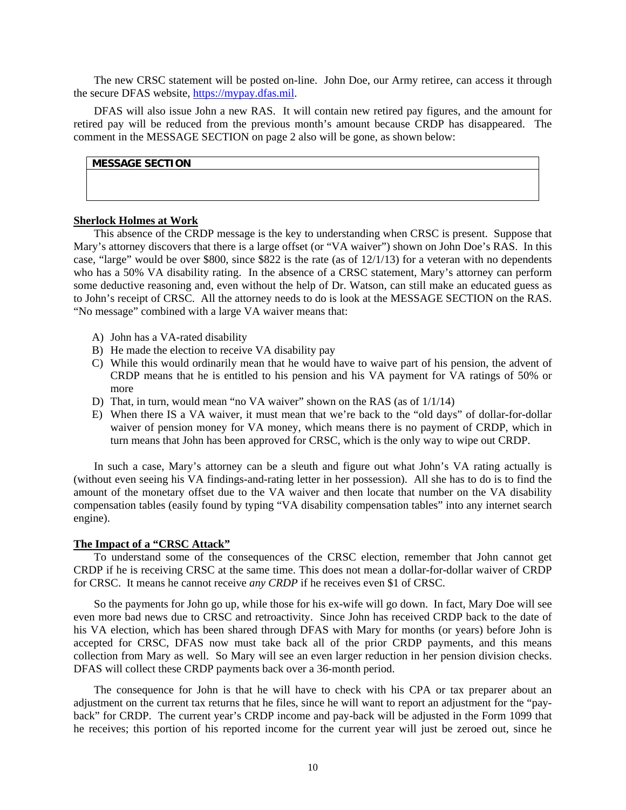The new CRSC statement will be posted on-line. John Doe, our Army retiree, can access it through the secure DFAS website, https://mypay.dfas.mil.

DFAS will also issue John a new RAS. It will contain new retired pay figures, and the amount for retired pay will be reduced from the previous month's amount because CRDP has disappeared. The comment in the MESSAGE SECTION on page 2 also will be gone, as shown below:

# **MESSAGE SECTION**

#### **Sherlock Holmes at Work**

This absence of the CRDP message is the key to understanding when CRSC is present. Suppose that Mary's attorney discovers that there is a large offset (or "VA waiver") shown on John Doe's RAS. In this case, "large" would be over \$800, since \$822 is the rate (as of 12/1/13) for a veteran with no dependents who has a 50% VA disability rating. In the absence of a CRSC statement, Mary's attorney can perform some deductive reasoning and, even without the help of Dr. Watson, can still make an educated guess as to John's receipt of CRSC. All the attorney needs to do is look at the MESSAGE SECTION on the RAS. "No message" combined with a large VA waiver means that:

- A) John has a VA-rated disability
- B) He made the election to receive VA disability pay
- C) While this would ordinarily mean that he would have to waive part of his pension, the advent of CRDP means that he is entitled to his pension and his VA payment for VA ratings of 50% or more
- D) That, in turn, would mean "no VA waiver" shown on the RAS (as of 1/1/14)
- E) When there IS a VA waiver, it must mean that we're back to the "old days" of dollar-for-dollar waiver of pension money for VA money, which means there is no payment of CRDP, which in turn means that John has been approved for CRSC, which is the only way to wipe out CRDP.

In such a case, Mary's attorney can be a sleuth and figure out what John's VA rating actually is (without even seeing his VA findings-and-rating letter in her possession). All she has to do is to find the amount of the monetary offset due to the VA waiver and then locate that number on the VA disability compensation tables (easily found by typing "VA disability compensation tables" into any internet search engine).

#### **The Impact of a "CRSC Attack"**

To understand some of the consequences of the CRSC election, remember that John cannot get CRDP if he is receiving CRSC at the same time. This does not mean a dollar-for-dollar waiver of CRDP for CRSC. It means he cannot receive *any CRDP* if he receives even \$1 of CRSC.

So the payments for John go up, while those for his ex-wife will go down. In fact, Mary Doe will see even more bad news due to CRSC and retroactivity. Since John has received CRDP back to the date of his VA election, which has been shared through DFAS with Mary for months (or years) before John is accepted for CRSC, DFAS now must take back all of the prior CRDP payments, and this means collection from Mary as well. So Mary will see an even larger reduction in her pension division checks. DFAS will collect these CRDP payments back over a 36-month period.

The consequence for John is that he will have to check with his CPA or tax preparer about an adjustment on the current tax returns that he files, since he will want to report an adjustment for the "payback" for CRDP. The current year's CRDP income and pay-back will be adjusted in the Form 1099 that he receives; this portion of his reported income for the current year will just be zeroed out, since he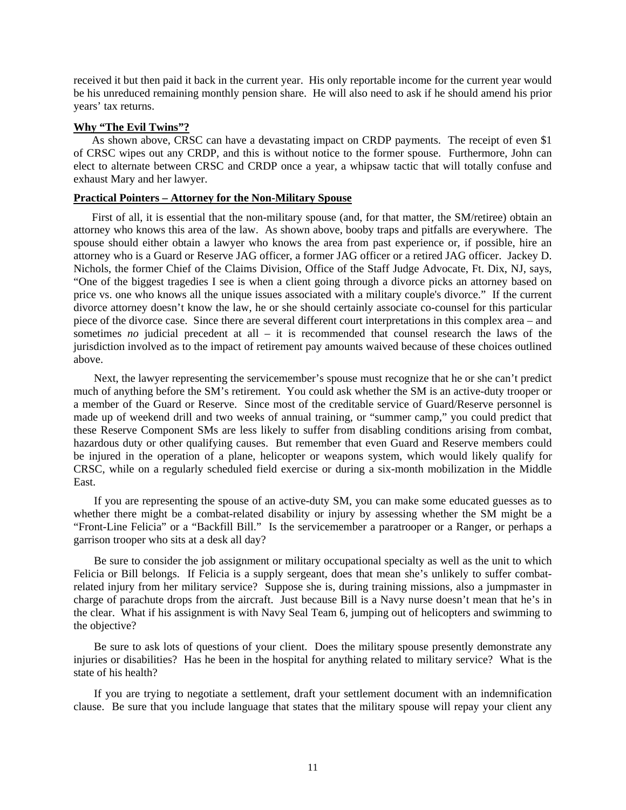received it but then paid it back in the current year. His only reportable income for the current year would be his unreduced remaining monthly pension share. He will also need to ask if he should amend his prior years' tax returns.

#### **Why "The Evil Twins"?**

As shown above, CRSC can have a devastating impact on CRDP payments. The receipt of even \$1 of CRSC wipes out any CRDP, and this is without notice to the former spouse. Furthermore, John can elect to alternate between CRSC and CRDP once a year, a whipsaw tactic that will totally confuse and exhaust Mary and her lawyer.

# **Practical Pointers – Attorney for the Non-Military Spouse**

First of all, it is essential that the non-military spouse (and, for that matter, the SM/retiree) obtain an attorney who knows this area of the law. As shown above, booby traps and pitfalls are everywhere. The spouse should either obtain a lawyer who knows the area from past experience or, if possible, hire an attorney who is a Guard or Reserve JAG officer, a former JAG officer or a retired JAG officer. Jackey D. Nichols, the former Chief of the Claims Division, Office of the Staff Judge Advocate, Ft. Dix, NJ, says, "One of the biggest tragedies I see is when a client going through a divorce picks an attorney based on price vs. one who knows all the unique issues associated with a military couple's divorce." If the current divorce attorney doesn't know the law, he or she should certainly associate co-counsel for this particular piece of the divorce case. Since there are several different court interpretations in this complex area – and sometimes *no* judicial precedent at all – it is recommended that counsel research the laws of the jurisdiction involved as to the impact of retirement pay amounts waived because of these choices outlined above.

Next, the lawyer representing the servicemember's spouse must recognize that he or she can't predict much of anything before the SM's retirement. You could ask whether the SM is an active-duty trooper or a member of the Guard or Reserve. Since most of the creditable service of Guard/Reserve personnel is made up of weekend drill and two weeks of annual training, or "summer camp," you could predict that these Reserve Component SMs are less likely to suffer from disabling conditions arising from combat, hazardous duty or other qualifying causes. But remember that even Guard and Reserve members could be injured in the operation of a plane, helicopter or weapons system, which would likely qualify for CRSC, while on a regularly scheduled field exercise or during a six-month mobilization in the Middle East.

If you are representing the spouse of an active-duty SM, you can make some educated guesses as to whether there might be a combat-related disability or injury by assessing whether the SM might be a "Front-Line Felicia" or a "Backfill Bill." Is the servicemember a paratrooper or a Ranger, or perhaps a garrison trooper who sits at a desk all day?

Be sure to consider the job assignment or military occupational specialty as well as the unit to which Felicia or Bill belongs. If Felicia is a supply sergeant, does that mean she's unlikely to suffer combatrelated injury from her military service? Suppose she is, during training missions, also a jumpmaster in charge of parachute drops from the aircraft. Just because Bill is a Navy nurse doesn't mean that he's in the clear. What if his assignment is with Navy Seal Team 6, jumping out of helicopters and swimming to the objective?

Be sure to ask lots of questions of your client. Does the military spouse presently demonstrate any injuries or disabilities? Has he been in the hospital for anything related to military service? What is the state of his health?

If you are trying to negotiate a settlement, draft your settlement document with an indemnification clause. Be sure that you include language that states that the military spouse will repay your client any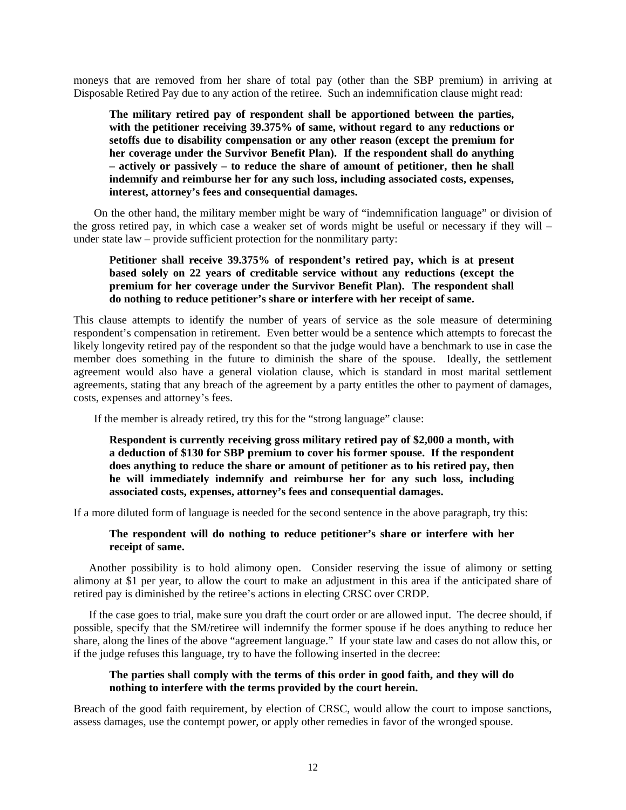moneys that are removed from her share of total pay (other than the SBP premium) in arriving at Disposable Retired Pay due to any action of the retiree. Such an indemnification clause might read:

**The military retired pay of respondent shall be apportioned between the parties, with the petitioner receiving 39.375% of same, without regard to any reductions or setoffs due to disability compensation or any other reason (except the premium for her coverage under the Survivor Benefit Plan). If the respondent shall do anything – actively or passively – to reduce the share of amount of petitioner, then he shall indemnify and reimburse her for any such loss, including associated costs, expenses, interest, attorney's fees and consequential damages.** 

On the other hand, the military member might be wary of "indemnification language" or division of the gross retired pay, in which case a weaker set of words might be useful or necessary if they will – under state law – provide sufficient protection for the nonmilitary party:

# **Petitioner shall receive 39.375% of respondent's retired pay, which is at present based solely on 22 years of creditable service without any reductions (except the premium for her coverage under the Survivor Benefit Plan). The respondent shall do nothing to reduce petitioner's share or interfere with her receipt of same.**

This clause attempts to identify the number of years of service as the sole measure of determining respondent's compensation in retirement. Even better would be a sentence which attempts to forecast the likely longevity retired pay of the respondent so that the judge would have a benchmark to use in case the member does something in the future to diminish the share of the spouse. Ideally, the settlement agreement would also have a general violation clause, which is standard in most marital settlement agreements, stating that any breach of the agreement by a party entitles the other to payment of damages, costs, expenses and attorney's fees.

If the member is already retired, try this for the "strong language" clause:

# **Respondent is currently receiving gross military retired pay of \$2,000 a month, with a deduction of \$130 for SBP premium to cover his former spouse. If the respondent does anything to reduce the share or amount of petitioner as to his retired pay, then he will immediately indemnify and reimburse her for any such loss, including associated costs, expenses, attorney's fees and consequential damages.**

If a more diluted form of language is needed for the second sentence in the above paragraph, try this:

# **The respondent will do nothing to reduce petitioner's share or interfere with her receipt of same.**

Another possibility is to hold alimony open. Consider reserving the issue of alimony or setting alimony at \$1 per year, to allow the court to make an adjustment in this area if the anticipated share of retired pay is diminished by the retiree's actions in electing CRSC over CRDP.

If the case goes to trial, make sure you draft the court order or are allowed input. The decree should, if possible, specify that the SM/retiree will indemnify the former spouse if he does anything to reduce her share, along the lines of the above "agreement language." If your state law and cases do not allow this, or if the judge refuses this language, try to have the following inserted in the decree:

# **The parties shall comply with the terms of this order in good faith, and they will do nothing to interfere with the terms provided by the court herein.**

Breach of the good faith requirement, by election of CRSC, would allow the court to impose sanctions, assess damages, use the contempt power, or apply other remedies in favor of the wronged spouse.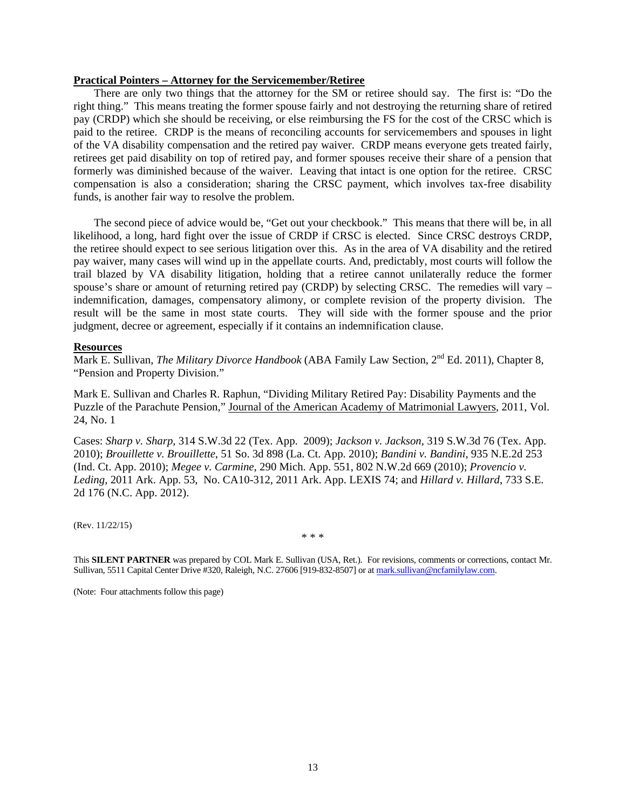#### **Practical Pointers – Attorney for the Servicemember/Retiree**

There are only two things that the attorney for the SM or retiree should say. The first is: "Do the right thing." This means treating the former spouse fairly and not destroying the returning share of retired pay (CRDP) which she should be receiving, or else reimbursing the FS for the cost of the CRSC which is paid to the retiree. CRDP is the means of reconciling accounts for servicemembers and spouses in light of the VA disability compensation and the retired pay waiver. CRDP means everyone gets treated fairly, retirees get paid disability on top of retired pay, and former spouses receive their share of a pension that formerly was diminished because of the waiver. Leaving that intact is one option for the retiree. CRSC compensation is also a consideration; sharing the CRSC payment, which involves tax-free disability funds, is another fair way to resolve the problem.

The second piece of advice would be, "Get out your checkbook." This means that there will be, in all likelihood, a long, hard fight over the issue of CRDP if CRSC is elected. Since CRSC destroys CRDP, the retiree should expect to see serious litigation over this. As in the area of VA disability and the retired pay waiver, many cases will wind up in the appellate courts. And, predictably, most courts will follow the trail blazed by VA disability litigation, holding that a retiree cannot unilaterally reduce the former spouse's share or amount of returning retired pay (CRDP) by selecting CRSC. The remedies will vary – indemnification, damages, compensatory alimony, or complete revision of the property division. The result will be the same in most state courts. They will side with the former spouse and the prior judgment, decree or agreement, especially if it contains an indemnification clause.

#### **Resources**

Mark E. Sullivan, *The Military Divorce Handbook* (ABA Family Law Section, 2<sup>nd</sup> Ed. 2011), Chapter 8. "Pension and Property Division."

Mark E. Sullivan and Charles R. Raphun, "Dividing Military Retired Pay: Disability Payments and the Puzzle of the Parachute Pension," Journal of the American Academy of Matrimonial Lawyers, 2011, Vol. 24, No. 1

Cases: *Sharp v. Sharp*, 314 S.W.3d 22 (Tex. App. 2009); *Jackson v. Jackson*, 319 S.W.3d 76 (Tex. App. 2010); *Brouillette v. Brouillette*, 51 So. 3d 898 (La. Ct. App. 2010); *Bandini v. Bandini*, 935 N.E.2d 253 (Ind. Ct. App. 2010); *Megee v. Carmine*, 290 Mich. App. 551, 802 N.W.2d 669 (2010); *Provencio v. Leding*, 2011 Ark. App. 53, No. CA10-312, 2011 Ark. App. LEXIS 74; and *Hillard v. Hillard*, 733 S.E. 2d 176 (N.C. App. 2012).

(Rev. 11/22/15)

\* \* \*

This **SILENT PARTNER** was prepared by COL Mark E. Sullivan (USA, Ret.). For revisions, comments or corrections, contact Mr. Sullivan, 5511 Capital Center Drive #320, Raleigh, N.C. 27606 [919-832-8507] or at mark.sullivan@ncfamilylaw.com.

(Note: Four attachments follow this page)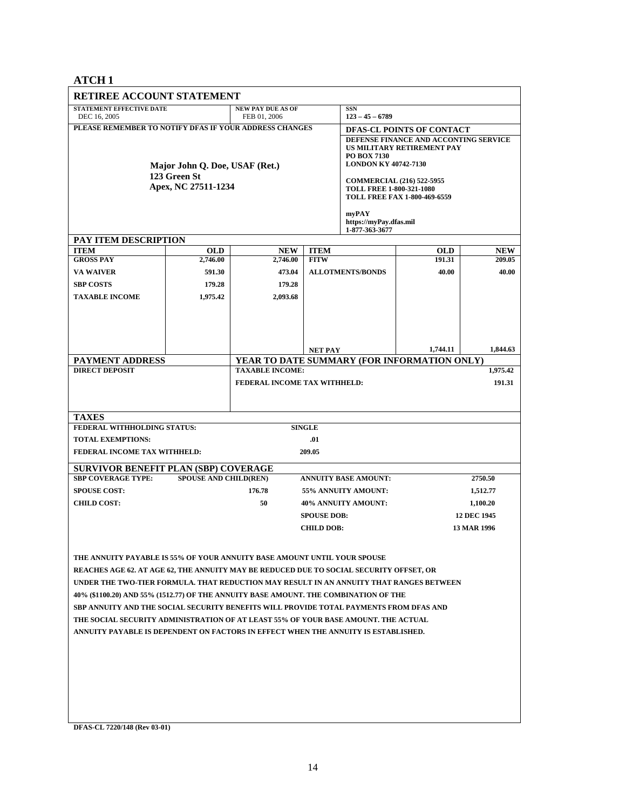**ATCH 1** 

| <b>RETIREE ACCOUNT STATEMENT</b>                                                        |                                                |                                                                       |                                                   |                                                                                                                                                |                      |                    |  |  |
|-----------------------------------------------------------------------------------------|------------------------------------------------|-----------------------------------------------------------------------|---------------------------------------------------|------------------------------------------------------------------------------------------------------------------------------------------------|----------------------|--------------------|--|--|
| <b>STATEMENT EFFECTIVE DATE</b><br>DEC 16, 2005                                         | <b>NEW PAY DUE AS OF</b><br>FEB 01, 2006       |                                                                       | <b>SSN</b><br>$123 - 45 - 6789$                   |                                                                                                                                                |                      |                    |  |  |
| PLEASE REMEMBER TO NOTIFY DFAS IF YOUR ADDRESS CHANGES                                  | Major John Q. Doe, USAF (Ret.)<br>123 Green St |                                                                       |                                                   | DFAS-CL POINTS OF CONTACT<br>DEFENSE FINANCE AND ACCONTING SERVICE<br>US MILITARY RETIREMENT PAY<br>PO BOX 7130<br><b>LONDON KY 40742-7130</b> |                      |                    |  |  |
|                                                                                         | Apex, NC 27511-1234                            |                                                                       |                                                   | <b>COMMERCIAL (216) 522-5955</b><br><b>TOLL FREE 1-800-321-1080</b><br><b>TOLL FREE FAX 1-800-469-6559</b>                                     |                      |                    |  |  |
|                                                                                         |                                                |                                                                       | myPAY<br>https://myPay.dfas.mil<br>1-877-363-3677 |                                                                                                                                                |                      |                    |  |  |
| PAY ITEM DESCRIPTION                                                                    |                                                |                                                                       |                                                   |                                                                                                                                                |                      |                    |  |  |
| <b>ITEM</b><br><b>GROSS PAY</b>                                                         | <b>OLD</b><br>2,746.00                         | <b>NEW</b><br>2,746.00                                                | <b>ITEM</b><br><b>FITW</b>                        |                                                                                                                                                | <b>OLD</b><br>191.31 | NEW<br>209.05      |  |  |
| <b>VA WAIVER</b>                                                                        | 591.30                                         | 473.04                                                                |                                                   | <b>ALLOTMENTS/BONDS</b>                                                                                                                        | 40.00                | 40.00              |  |  |
| <b>SBP COSTS</b>                                                                        | 179.28                                         | 179.28                                                                |                                                   |                                                                                                                                                |                      |                    |  |  |
| <b>TAXABLE INCOME</b>                                                                   | 1,975.42                                       | 2,093.68                                                              |                                                   |                                                                                                                                                |                      |                    |  |  |
|                                                                                         |                                                |                                                                       |                                                   |                                                                                                                                                |                      |                    |  |  |
|                                                                                         |                                                |                                                                       |                                                   |                                                                                                                                                |                      |                    |  |  |
|                                                                                         |                                                |                                                                       |                                                   |                                                                                                                                                |                      |                    |  |  |
|                                                                                         |                                                |                                                                       |                                                   |                                                                                                                                                |                      |                    |  |  |
|                                                                                         |                                                |                                                                       | <b>NET PAY</b>                                    |                                                                                                                                                | 1,744.11             | 1,844.63           |  |  |
| <b>PAYMENT ADDRESS</b><br><b>DIRECT DEPOSIT</b>                                         |                                                | YEAR TO DATE SUMMARY (FOR INFORMATION ONLY)<br><b>TAXABLE INCOME:</b> |                                                   |                                                                                                                                                |                      | 1,975.42           |  |  |
|                                                                                         |                                                |                                                                       |                                                   |                                                                                                                                                |                      |                    |  |  |
|                                                                                         |                                                | FEDERAL INCOME TAX WITHHELD:                                          |                                                   |                                                                                                                                                |                      | 191.31             |  |  |
|                                                                                         |                                                |                                                                       |                                                   |                                                                                                                                                |                      |                    |  |  |
| <b>TAXES</b>                                                                            |                                                |                                                                       |                                                   |                                                                                                                                                |                      |                    |  |  |
| FEDERAL WITHHOLDING STATUS:                                                             |                                                |                                                                       | <b>SINGLE</b>                                     |                                                                                                                                                |                      |                    |  |  |
| <b>TOTAL EXEMPTIONS:</b>                                                                |                                                |                                                                       | .01                                               |                                                                                                                                                |                      |                    |  |  |
| FEDERAL INCOME TAX WITHHELD:                                                            |                                                |                                                                       | 209.05                                            |                                                                                                                                                |                      |                    |  |  |
|                                                                                         |                                                |                                                                       |                                                   |                                                                                                                                                |                      |                    |  |  |
| <b>SURVIVOR BENEFIT PLAN (SBP) COVERAGE</b><br><b>SBP COVERAGE TYPE:</b>                | <b>SPOUSE AND CHILD(REN)</b>                   |                                                                       |                                                   | <b>ANNUITY BASE AMOUNT:</b>                                                                                                                    |                      | 2750.50            |  |  |
| <b>SPOUSE COST:</b>                                                                     |                                                | 176.78                                                                |                                                   | 55% ANNUITY AMOUNT:<br>1,512.77                                                                                                                |                      |                    |  |  |
| <b>CHILD COST:</b>                                                                      |                                                | 50                                                                    |                                                   |                                                                                                                                                | 1,100.20             |                    |  |  |
|                                                                                         |                                                | 40% ANNUITY AMOUNT:<br><b>SPOUSE DOB:</b>                             |                                                   |                                                                                                                                                |                      | <b>12 DEC 1945</b> |  |  |
|                                                                                         |                                                |                                                                       | <b>CHILD DOB:</b>                                 |                                                                                                                                                |                      | 13 MAR 1996        |  |  |
|                                                                                         |                                                |                                                                       |                                                   |                                                                                                                                                |                      |                    |  |  |
|                                                                                         |                                                |                                                                       |                                                   |                                                                                                                                                |                      |                    |  |  |
| THE ANNUITY PAYABLE IS 55% OF YOUR ANNUITY BASE AMOUNT UNTIL YOUR SPOUSE                |                                                |                                                                       |                                                   |                                                                                                                                                |                      |                    |  |  |
| REACHES AGE 62. AT AGE 62, THE ANNUITY MAY BE REDUCED DUE TO SOCIAL SECURITY OFFSET, OR |                                                |                                                                       |                                                   |                                                                                                                                                |                      |                    |  |  |
| UNDER THE TWO-TIER FORMULA. THAT REDUCTION MAY RESULT IN AN ANNUITY THAT RANGES BETWEEN |                                                |                                                                       |                                                   |                                                                                                                                                |                      |                    |  |  |
| 40% (\$1100.20) AND 55% (1512.77) OF THE ANNUITY BASE AMOUNT. THE COMBINATION OF THE    |                                                |                                                                       |                                                   |                                                                                                                                                |                      |                    |  |  |
| SBP ANNUITY AND THE SOCIAL SECURITY BENEFITS WILL PROVIDE TOTAL PAYMENTS FROM DFAS AND  |                                                |                                                                       |                                                   |                                                                                                                                                |                      |                    |  |  |
| THE SOCIAL SECURITY ADMINISTRATION OF AT LEAST 55% OF YOUR BASE AMOUNT. THE ACTUAL      |                                                |                                                                       |                                                   |                                                                                                                                                |                      |                    |  |  |
| ANNUITY PAYABLE IS DEPENDENT ON FACTORS IN EFFECT WHEN THE ANNUITY IS ESTABLISHED.      |                                                |                                                                       |                                                   |                                                                                                                                                |                      |                    |  |  |
|                                                                                         |                                                |                                                                       |                                                   |                                                                                                                                                |                      |                    |  |  |
|                                                                                         |                                                |                                                                       |                                                   |                                                                                                                                                |                      |                    |  |  |
|                                                                                         |                                                |                                                                       |                                                   |                                                                                                                                                |                      |                    |  |  |
|                                                                                         |                                                |                                                                       |                                                   |                                                                                                                                                |                      |                    |  |  |
|                                                                                         |                                                |                                                                       |                                                   |                                                                                                                                                |                      |                    |  |  |
|                                                                                         |                                                |                                                                       |                                                   |                                                                                                                                                |                      |                    |  |  |
|                                                                                         |                                                |                                                                       |                                                   |                                                                                                                                                |                      |                    |  |  |

**DFAS-CL 7220/148 (Rev 03-01)**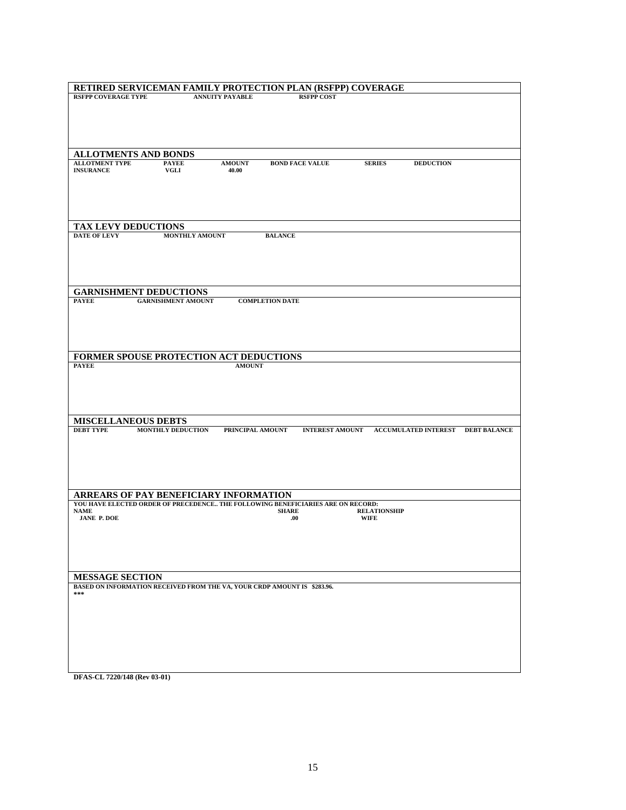| RETIRED SERVICEMAN FAMILY PROTECTION PLAN (RSFPP) COVERAGE                                                                                                 |
|------------------------------------------------------------------------------------------------------------------------------------------------------------|
| <b>RSFPP COVERAGE TYPE</b><br><b>ANNUITY PAYABLE</b><br><b>RSFPP COST</b>                                                                                  |
|                                                                                                                                                            |
|                                                                                                                                                            |
|                                                                                                                                                            |
|                                                                                                                                                            |
| <b>ALLOTMENTS AND BONDS</b>                                                                                                                                |
| <b>ALLOTMENT TYPE</b><br><b>PAYEE</b><br><b>AMOUNT</b><br><b>BOND FACE VALUE</b><br><b>SERIES</b><br><b>DEDUCTION</b><br><b>INSURANCE</b><br>VGLI<br>40.00 |
|                                                                                                                                                            |
|                                                                                                                                                            |
|                                                                                                                                                            |
|                                                                                                                                                            |
| TAX LEVY DEDUCTIONS                                                                                                                                        |
| <b>DATE OF LEVY</b><br><b>MONTHLY AMOUNT</b><br><b>BALANCE</b>                                                                                             |
|                                                                                                                                                            |
|                                                                                                                                                            |
|                                                                                                                                                            |
|                                                                                                                                                            |
| <b>GARNISHMENT DEDUCTIONS</b>                                                                                                                              |
| <b>GARNISHMENT AMOUNT</b><br><b>PAYEE</b><br><b>COMPLETION DATE</b>                                                                                        |
|                                                                                                                                                            |
|                                                                                                                                                            |
|                                                                                                                                                            |
|                                                                                                                                                            |
| FORMER SPOUSE PROTECTION ACT DEDUCTIONS                                                                                                                    |
| <b>PAYEE</b><br><b>AMOUNT</b>                                                                                                                              |
|                                                                                                                                                            |
|                                                                                                                                                            |
|                                                                                                                                                            |
|                                                                                                                                                            |
| <b>MISCELLANEOUS DEBTS</b>                                                                                                                                 |
| <b>DEBT TYPE</b><br><b>MONTHLY DEDUCTION</b><br>PRINCIPAL AMOUNT<br><b>INTEREST AMOUNT</b><br><b>ACCUMULATED INTEREST</b><br><b>DEBT BALANCE</b>           |
|                                                                                                                                                            |
|                                                                                                                                                            |
|                                                                                                                                                            |
|                                                                                                                                                            |
|                                                                                                                                                            |
| ARREARS OF PAY BENEFICIARY INFORMATION                                                                                                                     |
| YOU HAVE ELECTED ORDER OF PRECEDENCE THE FOLLOWING BENEFICIARIES ARE ON RECORD:                                                                            |
| <b>NAME</b><br><b>SHARE</b><br><b>RELATIONSHIP</b><br><b>JANE P. DOE</b><br>.00.<br><b>WIFE</b>                                                            |
|                                                                                                                                                            |
|                                                                                                                                                            |
|                                                                                                                                                            |
|                                                                                                                                                            |
|                                                                                                                                                            |
| <b>MESSAGE SECTION</b>                                                                                                                                     |
| BASED ON INFORMATION RECEIVED FROM THE VA, YOUR CRDP AMOUNT IS \$283.96.<br>$\pm \pm \pm$                                                                  |
|                                                                                                                                                            |
|                                                                                                                                                            |
|                                                                                                                                                            |
|                                                                                                                                                            |
|                                                                                                                                                            |
|                                                                                                                                                            |
|                                                                                                                                                            |
|                                                                                                                                                            |

**DFAS-CL 7220/148 (Rev 03-01)**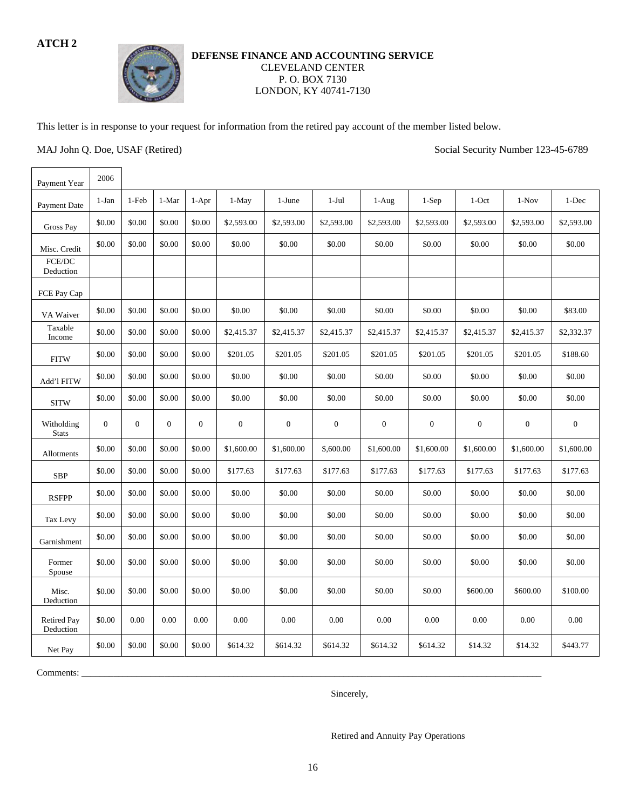# **ATCH 2**



# **DEFENSE FINANCE AND ACCOUNTING SERVICE**  CLEVELAND CENTER P. O. BOX 7130 LONDON, KY 40741-7130

This letter is in response to your request for information from the retired pay account of the member listed below.

MAJ John Q. Doe, USAF (Retired) Social Security Number 123-45-6789

| Payment Year                    | 2006         |              |                  |                  |                  |                  |                  |                  |                  |                  |              |                  |
|---------------------------------|--------------|--------------|------------------|------------------|------------------|------------------|------------------|------------------|------------------|------------------|--------------|------------------|
| Payment Date                    | $1-Jan$      | 1-Feb        | 1-Mar            | $1-Apr$          | 1-May            | 1-June           | $1-Jul$          | $1-Aug$          | $1-Sep$          | $1$ -Oct         | $1-Nov$      | 1-Dec            |
| <b>Gross Pay</b>                | \$0.00       | \$0.00       | \$0.00           | \$0.00           | \$2,593.00       | \$2,593.00       | \$2,593.00       | \$2,593.00       | \$2,593.00       | \$2,593.00       | \$2,593.00   | \$2,593.00       |
| Misc. Credit                    | \$0.00       | \$0.00       | \$0.00           | \$0.00           | \$0.00           | \$0.00           | \$0.00           | \$0.00           | \$0.00           | \$0.00           | \$0.00       | \$0.00           |
| FCE/DC<br>Deduction             |              |              |                  |                  |                  |                  |                  |                  |                  |                  |              |                  |
| FCE Pay Cap                     |              |              |                  |                  |                  |                  |                  |                  |                  |                  |              |                  |
| VA Waiver                       | \$0.00       | \$0.00       | \$0.00           | \$0.00           | \$0.00           | \$0.00           | \$0.00           | \$0.00           | \$0.00           | \$0.00           | \$0.00       | \$83.00          |
| Taxable<br>Income               | \$0.00       | \$0.00       | \$0.00           | \$0.00           | \$2,415.37       | \$2,415.37       | \$2,415.37       | \$2,415.37       | \$2,415.37       | \$2,415.37       | \$2,415.37   | \$2,332.37       |
| <b>FITW</b>                     | \$0.00       | \$0.00       | \$0.00           | \$0.00           | \$201.05         | \$201.05         | \$201.05         | \$201.05         | \$201.05         | \$201.05         | \$201.05     | \$188.60         |
| Add'l FITW                      | \$0.00       | \$0.00       | \$0.00           | \$0.00           | \$0.00           | \$0.00           | \$0.00           | \$0.00           | \$0.00           | \$0.00           | \$0.00       | \$0.00           |
| <b>SITW</b>                     | \$0.00       | \$0.00       | \$0.00           | \$0.00           | \$0.00           | \$0.00           | \$0.00           | \$0.00           | \$0.00           | \$0.00           | \$0.00       | \$0.00           |
|                                 |              |              |                  |                  |                  |                  |                  |                  |                  |                  |              |                  |
| Witholding<br><b>Stats</b>      | $\mathbf{0}$ | $\mathbf{0}$ | $\boldsymbol{0}$ | $\boldsymbol{0}$ | $\boldsymbol{0}$ | $\boldsymbol{0}$ | $\boldsymbol{0}$ | $\boldsymbol{0}$ | $\boldsymbol{0}$ | $\boldsymbol{0}$ | $\mathbf{0}$ | $\boldsymbol{0}$ |
| Allotments                      | \$0.00       | \$0.00       | \$0.00           | \$0.00           | \$1,600.00       | \$1,600.00       | \$,600.00        | \$1,600.00       | \$1,600.00       | \$1,600.00       | \$1,600.00   | \$1,600.00       |
| <b>SBP</b>                      | \$0.00       | \$0.00       | \$0.00           | \$0.00           | \$177.63         | \$177.63         | \$177.63         | \$177.63         | \$177.63         | \$177.63         | \$177.63     | \$177.63         |
| <b>RSFPP</b>                    | \$0.00       | \$0.00       | \$0.00           | \$0.00           | \$0.00           | \$0.00           | \$0.00           | \$0.00           | \$0.00           | \$0.00           | \$0.00       | \$0.00           |
| Tax Levy                        | \$0.00       | \$0.00       | \$0.00           | \$0.00           | \$0.00           | \$0.00           | \$0.00           | \$0.00           | \$0.00           | \$0.00           | \$0.00       | \$0.00           |
| Garnishment                     | \$0.00       | \$0.00       | \$0.00           | \$0.00           | \$0.00           | \$0.00           | \$0.00           | \$0.00           | \$0.00           | \$0.00           | \$0.00       | \$0.00           |
| Former<br>Spouse                | \$0.00       | \$0.00       | \$0.00           | \$0.00           | \$0.00           | \$0.00           | \$0.00           | \$0.00           | \$0.00           | \$0.00           | \$0.00       | \$0.00           |
| Misc.<br>Deduction              | \$0.00       | \$0.00       | \$0.00           | \$0.00           | \$0.00           | \$0.00           | \$0.00           | \$0.00           | \$0.00           | \$600.00         | \$600.00     | \$100.00         |
| <b>Retired Pay</b><br>Deduction | \$0.00       | 0.00         | 0.00             | 0.00             | 0.00             | 0.00             | 0.00             | 0.00             | 0.00             | 0.00             | 0.00         | 0.00             |

Comments: \_\_\_\_\_\_\_\_\_\_\_\_\_\_\_\_\_\_\_\_\_\_\_\_\_\_\_\_\_\_\_\_\_\_\_\_\_\_\_\_\_\_\_\_\_\_\_\_\_\_\_\_\_\_\_\_\_\_\_\_\_\_\_\_\_\_\_\_\_\_\_\_\_\_\_\_\_\_\_\_\_\_\_\_\_\_\_\_\_\_\_\_\_\_\_\_\_\_\_\_

Sincerely,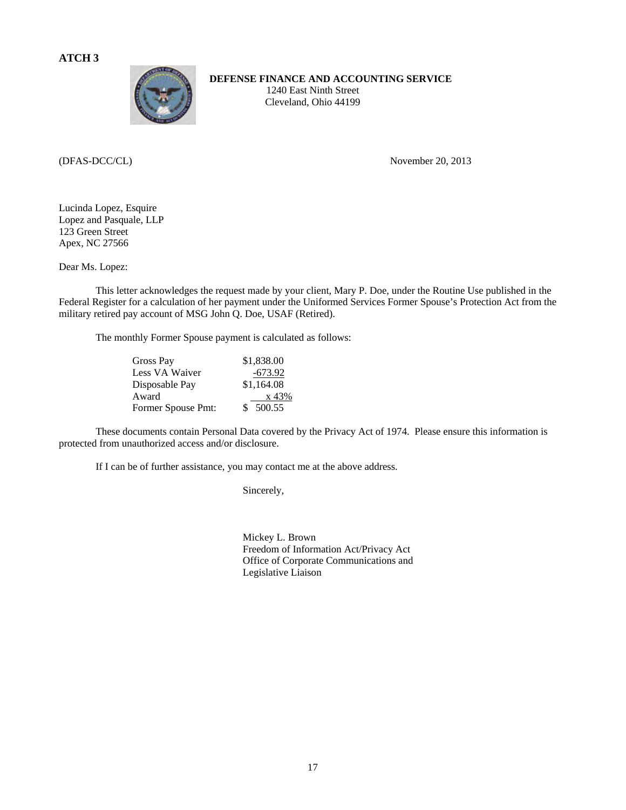

 **DEFENSE FINANCE AND ACCOUNTING SERVICE** 

1240 East Ninth Street Cleveland, Ohio 44199

(DFAS-DCC/CL) November 20, 2013

Lucinda Lopez, Esquire Lopez and Pasquale, LLP 123 Green Street Apex, NC 27566

Dear Ms. Lopez:

 This letter acknowledges the request made by your client, Mary P. Doe, under the Routine Use published in the Federal Register for a calculation of her payment under the Uniformed Services Former Spouse's Protection Act from the military retired pay account of MSG John Q. Doe, USAF (Retired).

The monthly Former Spouse payment is calculated as follows:

| Gross Pay          | \$1,838.00   |
|--------------------|--------------|
| Less VA Waiver     | -673.92      |
| Disposable Pay     | \$1,164.08   |
| Award              | x 43%        |
| Former Spouse Pmt: | 500.55<br>S. |

 These documents contain Personal Data covered by the Privacy Act of 1974. Please ensure this information is protected from unauthorized access and/or disclosure.

If I can be of further assistance, you may contact me at the above address.

Sincerely,

 Mickey L. Brown Freedom of Information Act/Privacy Act Office of Corporate Communications and Legislative Liaison